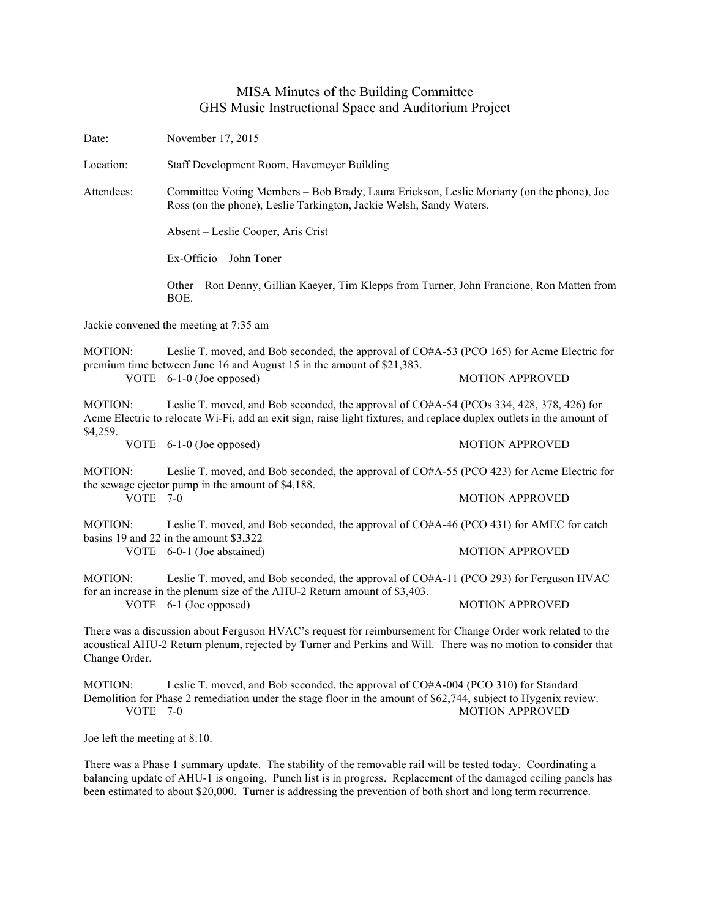## MISA Minutes of the Building Committee GHS Music Instructional Space and Auditorium Project

Date: November 17, 2015

Location: Staff Development Room, Havemeyer Building

Attendees: Committee Voting Members – Bob Brady, Laura Erickson, Leslie Moriarty (on the phone), Joe Ross (on the phone), Leslie Tarkington, Jackie Welsh, Sandy Waters.

Absent – Leslie Cooper, Aris Crist

Ex-Officio – John Toner

Other – Ron Denny, Gillian Kaeyer, Tim Klepps from Turner, John Francione, Ron Matten from BOE.

Jackie convened the meeting at 7:35 am

MOTION: Leslie T. moved, and Bob seconded, the approval of CO#A-53 (PCO 165) for Acme Electric for premium time between June 16 and August 15 in the amount of \$21,383.

VOTE 6-1-0 (Joe opposed) MOTION APPROVED

MOTION: Leslie T. moved, and Bob seconded, the approval of CO#A-54 (PCOs 334, 428, 378, 426) for Acme Electric to relocate Wi-Fi, add an exit sign, raise light fixtures, and replace duplex outlets in the amount of \$4,259.

VOTE 6-1-0 (Joe opposed) MOTION APPROVED

MOTION: Leslie T. moved, and Bob seconded, the approval of CO#A-55 (PCO 423) for Acme Electric for the sewage ejector pump in the amount of \$4,188. VOTE 7-0 MOTION APPROVED

MOTION: Leslie T. moved, and Bob seconded, the approval of CO#A-46 (PCO 431) for AMEC for catch basins 19 and 22 in the amount \$3,322

VOTE 6-0-1 (Joe abstained) MOTION APPROVED

MOTION: Leslie T. moved, and Bob seconded, the approval of CO#A-11 (PCO 293) for Ferguson HVAC for an increase in the plenum size of the AHU-2 Return amount of \$3,403. VOTE 6-1 (Joe opposed) MOTION APPROVED

There was a discussion about Ferguson HVAC's request for reimbursement for Change Order work related to the acoustical AHU-2 Return plenum, rejected by Turner and Perkins and Will. There was no motion to consider that Change Order.

MOTION: Leslie T. moved, and Bob seconded, the approval of CO#A-004 (PCO 310) for Standard Demolition for Phase 2 remediation under the stage floor in the amount of \$62,744, subject to Hygenix review. VOTE 7-0 MOTION APPROVED

Joe left the meeting at 8:10.

There was a Phase 1 summary update. The stability of the removable rail will be tested today. Coordinating a balancing update of AHU-1 is ongoing. Punch list is in progress. Replacement of the damaged ceiling panels has been estimated to about \$20,000. Turner is addressing the prevention of both short and long term recurrence.